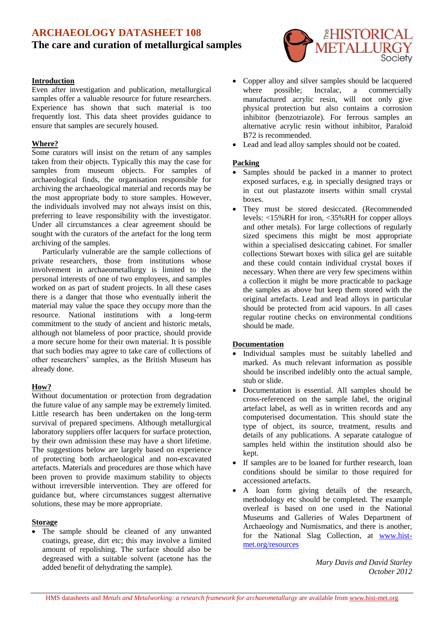# **ARCHAEOLOGY DATASHEET 108 The care and curation of metallurgical samples**

#### **Introduction**

Even after investigation and publication, metallurgical samples offer a valuable resource for future researchers. Experience has shown that such material is too frequently lost. This data sheet provides guidance to ensure that samples are securely housed.

#### **Where?**

Some curators will insist on the return of any samples taken from their objects. Typically this may the case for samples from museum objects. For samples of archaeological finds, the organisation responsible for archiving the archaeological material and records may be the most appropriate body to store samples. However, the individuals involved may not always insist on this, preferring to leave responsibility with the investigator. Under all circumstances a clear agreement should be sought with the curators of the artefact for the long term archiving of the samples.

Particularly vulnerable are the sample collections of private researchers, those from institutions whose involvement in archaeometallurgy is limited to the personal interests of one of two employees, and samples worked on as part of student projects. In all these cases there is a danger that those who eventually inherit the material may value the space they occupy more than the resource. National institutions with a long-term commitment to the study of ancient and historic metals, although not blameless of poor practice, should provide a more secure home for their own material. It is possible that such bodies may agree to take care of collections of other researchers' samples, as the British Museum has already done.

### **How?**

Without documentation or protection from degradation the future value of any sample may be extremely limited. Little research has been undertaken on the long-term survival of prepared specimens. Although metallurgical laboratory suppliers offer lacquers for surface protection, by their own admission these may have a short lifetime. The suggestions below are largely based on experience of protecting both archaeological and non-excavated artefacts. Materials and procedures are those which have been proven to provide maximum stability to objects without irreversible intervention. They are offered for guidance but, where circumstances suggest alternative solutions, these may be more appropriate.

#### **Storage**

 The sample should be cleaned of any unwanted coatings, grease, dirt etc; this may involve a limited amount of repolishing. The surface should also be degreased with a suitable solvent (acetone has the added benefit of dehydrating the sample).



- Copper alloy and silver samples should be lacquered where possible; Incralac, a commercially manufactured acrylic resin, will not only give physical protection but also contains a corrosion inhibitor (benzotriazole). For ferrous samples an alternative acrylic resin without inhibitor, Paraloid B72 is recommended.
- Lead and lead alloy samples should not be coated.

#### **Packing**

- Samples should be packed in a manner to protect exposed surfaces, e.g. in specially designed trays or in cut out plastazote inserts within small crystal boxes.
- They must be stored desiccated. (Recommended levels: <15%RH for iron, <35%RH for copper alloys and other metals). For large collections of regularly sized specimens this might be most appropriate within a specialised desiccating cabinet. For smaller collections Stewart boxes with silica gel are suitable and these could contain individual crystal boxes if necessary. When there are very few specimens within a collection it might be more practicable to package the samples as above but keep them stored with the original artefacts. Lead and lead alloys in particular should be protected from acid vapours. In all cases regular routine checks on environmental conditions should be made.

#### **Documentation**

- Individual samples must be suitably labelled and marked. As much relevant information as possible should be inscribed indelibly onto the actual sample, stub or slide.
- Documentation is essential. All samples should be cross-referenced on the sample label, the original artefact label, as well as in written records and any computerised documentation. This should state the type of object, its source, treatment, results and details of any publications. A separate catalogue of samples held within the institution should also be kept.
- If samples are to be loaned for further research, loan conditions should be similar to those required for accessioned artefacts.
- A loan form giving details of the research, methodology etc should be completed. The example overleaf is based on one used in the National Museums and Galleries of Wales Department of Archaeology and Numismatics, and there is another, for the National Slag Collection, at [www.hist](http://www.hist-met.org/resources)[met.org/resources](http://www.hist-met.org/resources)

*Mary Davis and David Starley October 2012*